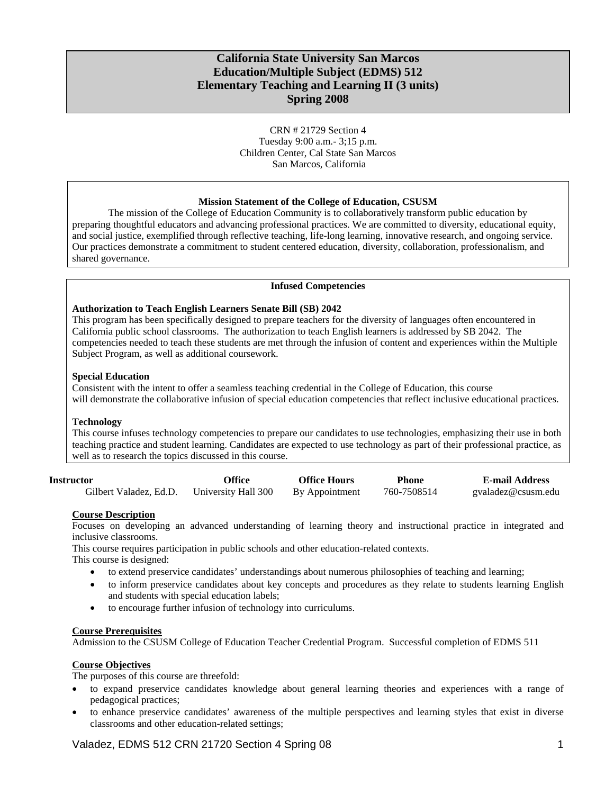# **California State University San Marcos Education/Multiple Subject (EDMS) 512 Elementary Teaching and Learning II (3 units) Spring 2008**

CRN # 21729 Section 4 Tuesday 9:00 a.m.- 3;15 p.m. Children Center, Cal State San Marcos San Marcos, California

### **Mission Statement of the College of Education, CSUSM**

The mission of the College of Education Community is to collaboratively transform public education by preparing thoughtful educators and advancing professional practices. We are committed to diversity, educational equity, and social justice, exemplified through reflective teaching, life-long learning, innovative research, and ongoing service. Our practices demonstrate a commitment to student centered education, diversity, collaboration, professionalism, and shared governance.

### **Infused Competencies**

### **Authorization to Teach English Learners Senate Bill (SB) 2042**

This program has been specifically designed to prepare teachers for the diversity of languages often encountered in California public school classrooms. The authorization to teach English learners is addressed by SB 2042. The competencies needed to teach these students are met through the infusion of content and experiences within the Multiple Subject Program, as well as additional coursework.

### **Special Education**

Consistent with the intent to offer a seamless teaching credential in the College of Education, this course will demonstrate the collaborative infusion of special education competencies that reflect inclusive educational practices.

### **Technology**

This course infuses technology competencies to prepare our candidates to use technologies, emphasizing their use in both teaching practice and student learning. Candidates are expected to use technology as part of their professional practice, as well as to research the topics discussed in this course.

| <b>Instructor</b>      | Office              | <b>Office Hours</b> | Phone       | <b>E-mail Address</b> |
|------------------------|---------------------|---------------------|-------------|-----------------------|
| Gilbert Valadez, Ed.D. | University Hall 300 | By Appointment      | 760-7508514 | gyaladez@csusm.edu    |

### **Course Description**

Focuses on developing an advanced understanding of learning theory and instructional practice in integrated and inclusive classrooms.

This course requires participation in public schools and other education-related contexts.

This course is designed:

- to extend preservice candidates' understandings about numerous philosophies of teaching and learning;
- to inform preservice candidates about key concepts and procedures as they relate to students learning English and students with special education labels;
- to encourage further infusion of technology into curriculums.

### **Course Prerequisites**

Admission to the CSUSM College of Education Teacher Credential Program. Successful completion of EDMS 511

### **Course Objectives**

The purposes of this course are threefold:

- to expand preservice candidates knowledge about general learning theories and experiences with a range of pedagogical practices;
- to enhance preservice candidates' awareness of the multiple perspectives and learning styles that exist in diverse classrooms and other education-related settings;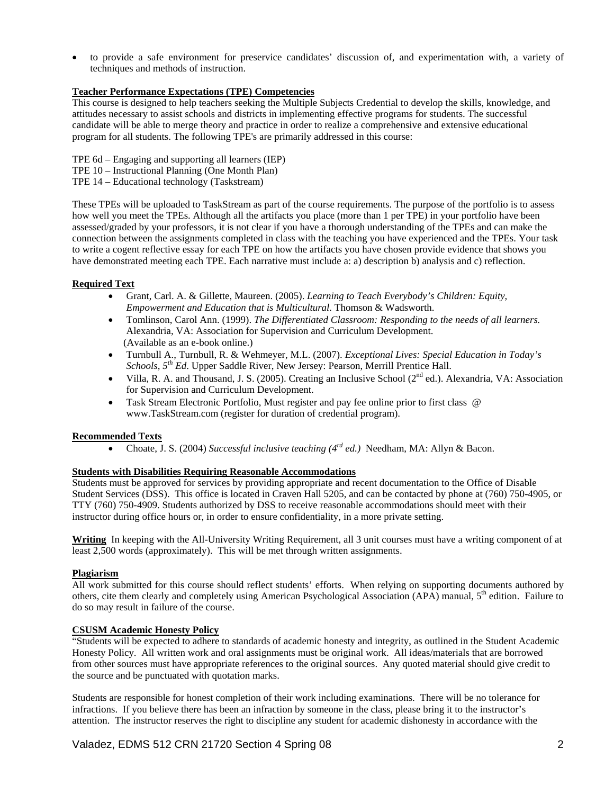• to provide a safe environment for preservice candidates' discussion of, and experimentation with, a variety of techniques and methods of instruction.

### **Teacher Performance Expectations (TPE) Competencies**

This course is designed to help teachers seeking the Multiple Subjects Credential to develop the skills, knowledge, and attitudes necessary to assist schools and districts in implementing effective programs for students. The successful candidate will be able to merge theory and practice in order to realize a comprehensive and extensive educational program for all students. The following TPE's are primarily addressed in this course:

- TPE 6d Engaging and supporting all learners (IEP)
- TPE 10 Instructional Planning (One Month Plan)
- TPE 14 Educational technology (Taskstream)

These TPEs will be uploaded to TaskStream as part of the course requirements. The purpose of the portfolio is to assess how well you meet the TPEs. Although all the artifacts you place (more than 1 per TPE) in your portfolio have been assessed/graded by your professors, it is not clear if you have a thorough understanding of the TPEs and can make the connection between the assignments completed in class with the teaching you have experienced and the TPEs. Your task to write a cogent reflective essay for each TPE on how the artifacts you have chosen provide evidence that shows you have demonstrated meeting each TPE. Each narrative must include a: a) description b) analysis and c) reflection.

## **Required Text**

- Grant, Carl. A. & Gillette, Maureen. (2005). *Learning to Teach Everybody's Children: Equity, Empowerment and Education that is Multicultural.* Thomson & Wadsworth.
- Tomlinson, Carol Ann. (1999). *The Differentiated Classroom: Responding to the needs of all learners.*  Alexandria, VA: Association for Supervision and Curriculum Development. (Available as an e-book online.)
- Turnbull A., Turnbull, R. & Wehmeyer, M.L. (2007). *Exceptional Lives: Special Education in Today's Schools, 5th Ed*. Upper Saddle River, New Jersey: Pearson, Merrill Prentice Hall.
- Villa, R. A. and Thousand, J. S. (2005). Creating an Inclusive School ( $2<sup>nd</sup>$  ed.). Alexandria, VA: Association for Supervision and Curriculum Development.
- Task Stream Electronic Portfolio, Must register and pay fee online prior to first class @ www.TaskStream.com (register for duration of credential program).

### **Recommended Texts**

• Choate, J. S. (2004) *Successful inclusive teaching (4rd ed.)* Needham, MA: Allyn & Bacon.

### **Students with Disabilities Requiring Reasonable Accommodations**

Students must be approved for services by providing appropriate and recent documentation to the Office of Disable Student Services (DSS). This office is located in Craven Hall 5205, and can be contacted by phone at (760) 750-4905, or TTY (760) 750-4909. Students authorized by DSS to receive reasonable accommodations should meet with their instructor during office hours or, in order to ensure confidentiality, in a more private setting.

**Writing** In keeping with the All-University Writing Requirement, all 3 unit courses must have a writing component of at least 2,500 words (approximately). This will be met through written assignments.

### **Plagiarism**

All work submitted for this course should reflect students' efforts. When relying on supporting documents authored by others, cite them clearly and completely using American Psychological Association (APA) manual, 5<sup>th</sup> edition. Failure to do so may result in failure of the course.

### **CSUSM Academic Honesty Policy**

"Students will be expected to adhere to standards of academic honesty and integrity, as outlined in the Student Academic Honesty Policy. All written work and oral assignments must be original work. All ideas/materials that are borrowed from other sources must have appropriate references to the original sources. Any quoted material should give credit to the source and be punctuated with quotation marks.

Students are responsible for honest completion of their work including examinations. There will be no tolerance for infractions. If you believe there has been an infraction by someone in the class, please bring it to the instructor's attention. The instructor reserves the right to discipline any student for academic dishonesty in accordance with the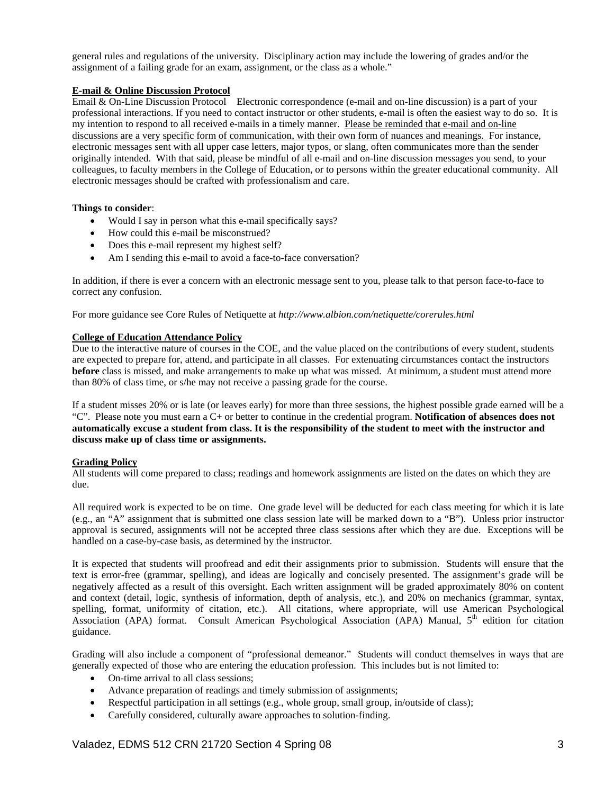general rules and regulations of the university. Disciplinary action may include the lowering of grades and/or the assignment of a failing grade for an exam, assignment, or the class as a whole."

## **E-mail & Online Discussion Protocol**

Email & On-Line Discussion Protocol Electronic correspondence (e-mail and on-line discussion) is a part of your professional interactions. If you need to contact instructor or other students, e-mail is often the easiest way to do so. It is my intention to respond to all received e-mails in a timely manner. Please be reminded that e-mail and on-line discussions are a very specific form of communication, with their own form of nuances and meanings. For instance, electronic messages sent with all upper case letters, major typos, or slang, often communicates more than the sender originally intended. With that said, please be mindful of all e-mail and on-line discussion messages you send, to your colleagues, to faculty members in the College of Education, or to persons within the greater educational community. All electronic messages should be crafted with professionalism and care.

### **Things to consider**:

- Would I say in person what this e-mail specifically says?
- How could this e-mail be misconstrued?
- Does this e-mail represent my highest self?
- Am I sending this e-mail to avoid a face-to-face conversation?

In addition, if there is ever a concern with an electronic message sent to you, please talk to that person face-to-face to correct any confusion.

For more guidance see Core Rules of Netiquette at *http://www.albion.com/netiquette/corerules.html* 

### **College of Education Attendance Policy**

Due to the interactive nature of courses in the COE, and the value placed on the contributions of every student, students are expected to prepare for, attend, and participate in all classes. For extenuating circumstances contact the instructors **before** class is missed, and make arrangements to make up what was missed. At minimum, a student must attend more than 80% of class time, or s/he may not receive a passing grade for the course.

If a student misses 20% or is late (or leaves early) for more than three sessions, the highest possible grade earned will be a "C". Please note you must earn a C+ or better to continue in the credential program. **Notification of absences does not automatically excuse a student from class. It is the responsibility of the student to meet with the instructor and discuss make up of class time or assignments.** 

### **Grading Policy**

All students will come prepared to class; readings and homework assignments are listed on the dates on which they are due.

All required work is expected to be on time. One grade level will be deducted for each class meeting for which it is late (e.g., an "A" assignment that is submitted one class session late will be marked down to a "B"). Unless prior instructor approval is secured, assignments will not be accepted three class sessions after which they are due. Exceptions will be handled on a case-by-case basis, as determined by the instructor.

It is expected that students will proofread and edit their assignments prior to submission. Students will ensure that the text is error-free (grammar, spelling), and ideas are logically and concisely presented. The assignment's grade will be negatively affected as a result of this oversight. Each written assignment will be graded approximately 80% on content and context (detail, logic, synthesis of information, depth of analysis, etc.), and 20% on mechanics (grammar, syntax, spelling, format, uniformity of citation, etc.). All citations, where appropriate, will use American Psychological Association (APA) format. Consult American Psychological Association (APA) Manual,  $5<sup>th</sup>$  edition for citation guidance.

Grading will also include a component of "professional demeanor." Students will conduct themselves in ways that are generally expected of those who are entering the education profession. This includes but is not limited to:

- On-time arrival to all class sessions;
- Advance preparation of readings and timely submission of assignments;
- Respectful participation in all settings (e.g., whole group, small group, in/outside of class);
- Carefully considered, culturally aware approaches to solution-finding.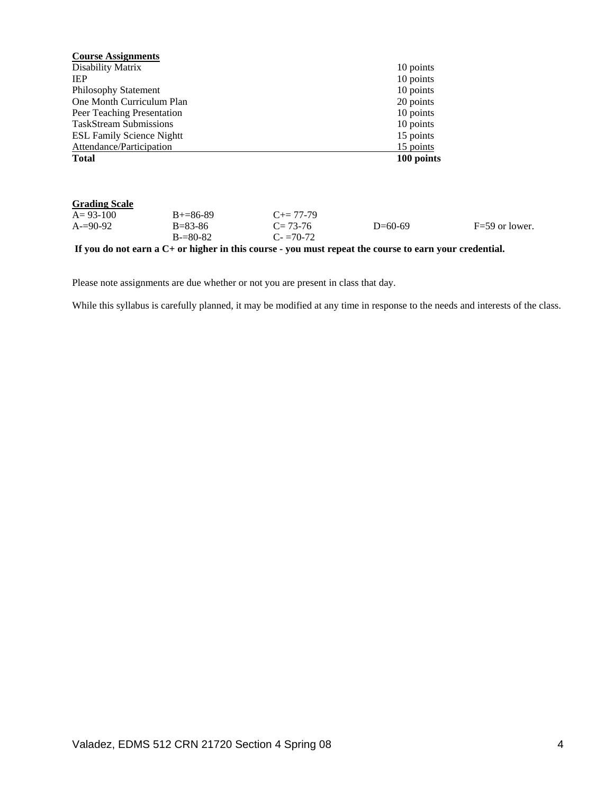| <b>Course Assignments</b>        |               |                                                                                                          |            |                  |
|----------------------------------|---------------|----------------------------------------------------------------------------------------------------------|------------|------------------|
| Disability Matrix                |               |                                                                                                          | 10 points  |                  |
| <b>IEP</b>                       |               |                                                                                                          | 10 points  |                  |
| <b>Philosophy Statement</b>      |               |                                                                                                          | 10 points  |                  |
| One Month Curriculum Plan        |               |                                                                                                          | 20 points  |                  |
| Peer Teaching Presentation       |               |                                                                                                          | 10 points  |                  |
| <b>TaskStream Submissions</b>    |               |                                                                                                          | 10 points  |                  |
| <b>ESL Family Science Nightt</b> |               |                                                                                                          | 15 points  |                  |
| Attendance/Participation         |               |                                                                                                          | 15 points  |                  |
| <b>Total</b>                     |               |                                                                                                          | 100 points |                  |
| <b>Grading Scale</b>             |               |                                                                                                          |            |                  |
| $A = 93 - 100$                   | $B+=86-89$    | $C+= 77-79$                                                                                              |            |                  |
| $A=90-92$                        | $B = 83 - 86$ | $C = 73-76$                                                                                              | $D=60-69$  | $F=59$ or lower. |
|                                  | $B = 80-82$   | $C = 70-72$                                                                                              |            |                  |
|                                  |               | If you do not earn $a C+$ or higher in this course - you must repeat the course to earn your credential. |            |                  |

Please note assignments are due whether or not you are present in class that day.

While this syllabus is carefully planned, it may be modified at any time in response to the needs and interests of the class.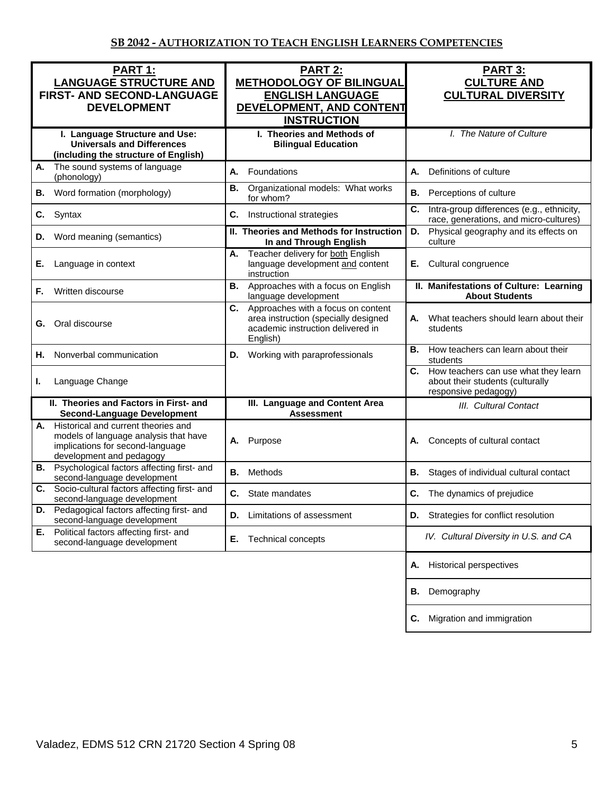| <b>PART 1:</b><br><b>LANGUAGE STRUCTURE AND</b><br>FIRST- AND SECOND-LANGUAGE<br><b>DEVELOPMENT</b>                                                | PART 2:<br><b>METHODOLOGY OF BILINGUAL</b><br><b>ENGLISH LANGUAGE</b><br>DEVELOPMENT, AND CONTENT<br><b>INSTRUCTION</b>           | <b>PART 3:</b><br><b>CULTURE AND</b><br><b>CULTURAL DIVERSITY</b>                                   |  |
|----------------------------------------------------------------------------------------------------------------------------------------------------|-----------------------------------------------------------------------------------------------------------------------------------|-----------------------------------------------------------------------------------------------------|--|
| I. Language Structure and Use:<br><b>Universals and Differences</b><br>(including the structure of English)                                        | I. Theories and Methods of<br><b>Bilingual Education</b>                                                                          | I. The Nature of Culture                                                                            |  |
| The sound systems of language<br>А.<br>(phonology)                                                                                                 | А.<br>Foundations                                                                                                                 | <b>A.</b><br>Definitions of culture                                                                 |  |
| Word formation (morphology)<br>В.                                                                                                                  | Organizational models: What works<br><b>B.</b><br>for whom?                                                                       | <b>B.</b><br>Perceptions of culture                                                                 |  |
| Syntax<br>C.                                                                                                                                       | C.<br>Instructional strategies                                                                                                    | C.<br>Intra-group differences (e.g., ethnicity,<br>race, generations, and micro-cultures)           |  |
| Word meaning (semantics)<br>D.                                                                                                                     | II. Theories and Methods for Instruction<br>In and Through English                                                                | Physical geography and its effects on<br>D.<br>culture                                              |  |
| Language in context<br>Е.                                                                                                                          | Teacher delivery for both English<br>А.<br>language development and content<br>instruction                                        | Cultural congruence<br>Е.                                                                           |  |
| Written discourse<br>F.                                                                                                                            | Approaches with a focus on English<br><b>B.</b><br>language development                                                           | II. Manifestations of Culture: Learning<br><b>About Students</b>                                    |  |
| Oral discourse<br>G.                                                                                                                               | Approaches with a focus on content<br>C.<br>area instruction (specially designed<br>academic instruction delivered in<br>English) | What teachers should learn about their<br>А.<br>students                                            |  |
| Nonverbal communication<br>Н.                                                                                                                      | Working with paraprofessionals<br>D.                                                                                              | How teachers can learn about their<br>В.<br>students                                                |  |
| Language Change<br>ı.                                                                                                                              |                                                                                                                                   | C. How teachers can use what they learn<br>about their students (culturally<br>responsive pedagogy) |  |
| II. Theories and Factors in First- and<br><b>Second-Language Development</b>                                                                       | III. Language and Content Area<br><b>Assessment</b>                                                                               | III. Cultural Contact                                                                               |  |
| Historical and current theories and<br>А.<br>models of language analysis that have<br>implications for second-language<br>development and pedagogy | Purpose<br>А.                                                                                                                     | Concepts of cultural contact<br>А.                                                                  |  |
| <b>B.</b> Psychological factors affecting first- and<br>second-language development                                                                | Methods<br>В.                                                                                                                     | <b>B.</b><br>Stages of individual cultural contact                                                  |  |
| Socio-cultural factors affecting first- and<br>C.<br>second-language development                                                                   | State mandates<br>С.                                                                                                              | C.<br>The dynamics of prejudice                                                                     |  |
| Pedagogical factors affecting first- and<br>D.<br>second-language development                                                                      | Limitations of assessment<br>D.                                                                                                   | <b>D.</b> Strategies for conflict resolution                                                        |  |
| Political factors affecting first- and<br>Е.<br>second-language development                                                                        | Technical concepts<br>Е.                                                                                                          | IV. Cultural Diversity in U.S. and CA                                                               |  |
|                                                                                                                                                    |                                                                                                                                   | <b>Historical perspectives</b><br>А.                                                                |  |
|                                                                                                                                                    |                                                                                                                                   | Demography<br>В.                                                                                    |  |
|                                                                                                                                                    |                                                                                                                                   | Migration and immigration<br>C.                                                                     |  |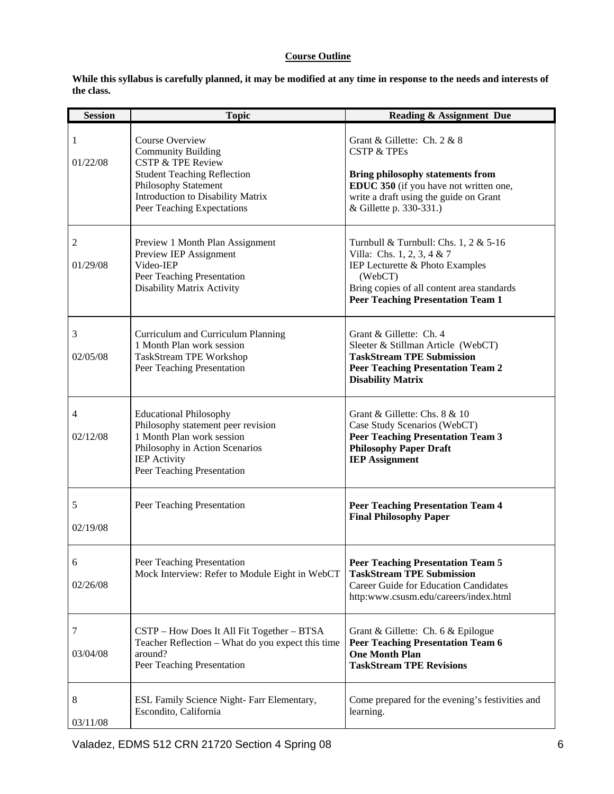# **Course Outline**

**While this syllabus is carefully planned, it may be modified at any time in response to the needs and interests of the class.** 

| <b>Session</b>             | <b>Topic</b>                                                                                                                                                                                                  | <b>Reading &amp; Assignment Due</b>                                                                                                                                                                             |
|----------------------------|---------------------------------------------------------------------------------------------------------------------------------------------------------------------------------------------------------------|-----------------------------------------------------------------------------------------------------------------------------------------------------------------------------------------------------------------|
| 1<br>01/22/08              | Course Overview<br><b>Community Building</b><br><b>CSTP &amp; TPE Review</b><br><b>Student Teaching Reflection</b><br>Philosophy Statement<br>Introduction to Disability Matrix<br>Peer Teaching Expectations | Grant & Gillette: Ch. 2 & 8<br><b>CSTP &amp; TPEs</b><br><b>Bring philosophy statements from</b><br>EDUC 350 (if you have not written one,<br>write a draft using the guide on Grant<br>& Gillette p. 330-331.) |
| 2<br>01/29/08              | Preview 1 Month Plan Assignment<br>Preview IEP Assignment<br>Video-IEP<br>Peer Teaching Presentation<br>Disability Matrix Activity                                                                            | Turnbull & Turnbull: Chs. 1, 2 & 5-16<br>Villa: Chs. 1, 2, 3, 4 & 7<br>IEP Lecturette & Photo Examples<br>(WebCT)<br>Bring copies of all content area standards<br><b>Peer Teaching Presentation Team 1</b>     |
| 3<br>02/05/08              | Curriculum and Curriculum Planning<br>1 Month Plan work session<br>TaskStream TPE Workshop<br>Peer Teaching Presentation                                                                                      | Grant & Gillette: Ch. 4<br>Sleeter & Stillman Article (WebCT)<br><b>TaskStream TPE Submission</b><br><b>Peer Teaching Presentation Team 2</b><br><b>Disability Matrix</b>                                       |
| $\overline{4}$<br>02/12/08 | <b>Educational Philosophy</b><br>Philosophy statement peer revision<br>1 Month Plan work session<br>Philosophy in Action Scenarios<br><b>IEP</b> Activity<br>Peer Teaching Presentation                       | Grant & Gillette: Chs. 8 & 10<br>Case Study Scenarios (WebCT)<br><b>Peer Teaching Presentation Team 3</b><br><b>Philosophy Paper Draft</b><br><b>IEP Assignment</b>                                             |
| 5<br>02/19/08              | Peer Teaching Presentation                                                                                                                                                                                    | <b>Peer Teaching Presentation Team 4</b><br><b>Final Philosophy Paper</b>                                                                                                                                       |
| 6<br>02/26/08              | Peer Teaching Presentation<br>Mock Interview: Refer to Module Eight in WebCT                                                                                                                                  | <b>Peer Teaching Presentation Team 5</b><br><b>TaskStream TPE Submission</b><br><b>Career Guide for Education Candidates</b><br>http:www.csusm.edu/careers/index.html                                           |
| 7<br>03/04/08              | CSTP - How Does It All Fit Together - BTSA<br>Teacher Reflection - What do you expect this time<br>around?<br>Peer Teaching Presentation                                                                      | Grant & Gillette: Ch. 6 & Epilogue<br><b>Peer Teaching Presentation Team 6</b><br><b>One Month Plan</b><br><b>TaskStream TPE Revisions</b>                                                                      |
| 8<br>03/11/08              | ESL Family Science Night- Farr Elementary,<br>Escondito, California                                                                                                                                           | Come prepared for the evening's festivities and<br>learning.                                                                                                                                                    |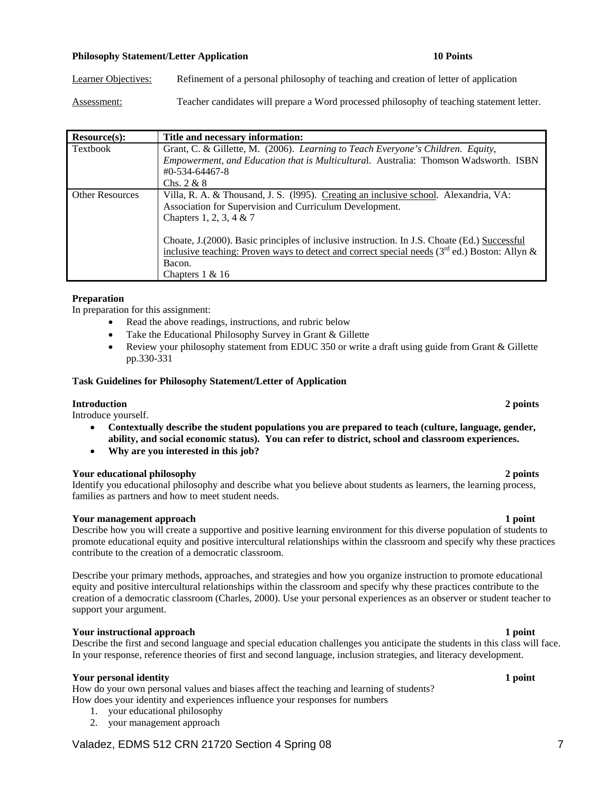# **Philosophy Statement/Letter Application 10 Points 10 Points**

Learner Objectives: Refinement of a personal philosophy of teaching and creation of letter of application

Assessment: Teacher candidates will prepare a Word processed philosophy of teaching statement letter.

| Resource(s):           | Title and necessary information:                                                                |
|------------------------|-------------------------------------------------------------------------------------------------|
| Textbook               | Grant, C. & Gillette, M. (2006). Learning to Teach Everyone's Children. Equity,                 |
|                        | Empowerment, and Education that is Multicultural. Australia: Thomson Wadsworth. ISBN            |
|                        | $\text{\#}0$ -534-64467-8                                                                       |
|                        | Chs. $2 & 8$                                                                                    |
| <b>Other Resources</b> | Villa, R. A. & Thousand, J. S. (1995). Creating an inclusive school. Alexandria, VA:            |
|                        | Association for Supervision and Curriculum Development.                                         |
|                        | Chapters 1, 2, 3, 4 & 7                                                                         |
|                        |                                                                                                 |
|                        | Choate, J. (2000). Basic principles of inclusive instruction. In J.S. Choate (Ed.) Successful   |
|                        | inclusive teaching: Proven ways to detect and correct special needs $(3rd$ ed.) Boston: Allyn & |
|                        | Bacon.                                                                                          |
|                        | Chapters $1 \& 16$                                                                              |

### **Preparation**

In preparation for this assignment:

- Read the above readings, instructions, and rubric below
- Take the Educational Philosophy Survey in Grant & Gillette
- Review your philosophy statement from EDUC 350 or write a draft using guide from Grant & Gillette pp.330-331

### **Task Guidelines for Philosophy Statement/Letter of Application**

### **Introduction 2 points**

Introduce yourself.

- **Contextually describe the student populations you are prepared to teach (culture, language, gender, ability, and social economic status). You can refer to district, school and classroom experiences.**
- **Why are you interested in this job?**

### **Your educational philosophy 2 points**

Identify you educational philosophy and describe what you believe about students as learners, the learning process, families as partners and how to meet student needs.

### **Your management approach 1 point 1 point 1 point 1 point 1 point 1 point 1 point 1 point 1 point 1 point 1 point 1 point 1 point 1 point 1 point 1 point 1 point 1 point 1 point 1 point 1 point 1 point 1 point 1 point 1 po**

Describe how you will create a supportive and positive learning environment for this diverse population of students to promote educational equity and positive intercultural relationships within the classroom and specify why these practices contribute to the creation of a democratic classroom.

Describe your primary methods, approaches, and strategies and how you organize instruction to promote educational equity and positive intercultural relationships within the classroom and specify why these practices contribute to the creation of a democratic classroom (Charles, 2000). Use your personal experiences as an observer or student teacher to support your argument.

### **Your instructional approach 1 point 1 point 1 point 1 point 1 point 1 point 1 point 1 point 1 point 1 point 1 point 1 point 1 point 1 point 1 point 1 point 1 point 1 point 1 point 1 point 1 point 1 point 1 point 1 point 1**

Describe the first and second language and special education challenges you anticipate the students in this class will face. In your response, reference theories of first and second language, inclusion strategies, and literacy development.

### **Your personal identity** 1 **point** 1 **point**

How do your own personal values and biases affect the teaching and learning of students? How does your identity and experiences influence your responses for numbers

- 1. your educational philosophy
- 2. your management approach

# Valadez, EDMS 512 CRN 21720 Section 4 Spring 08 7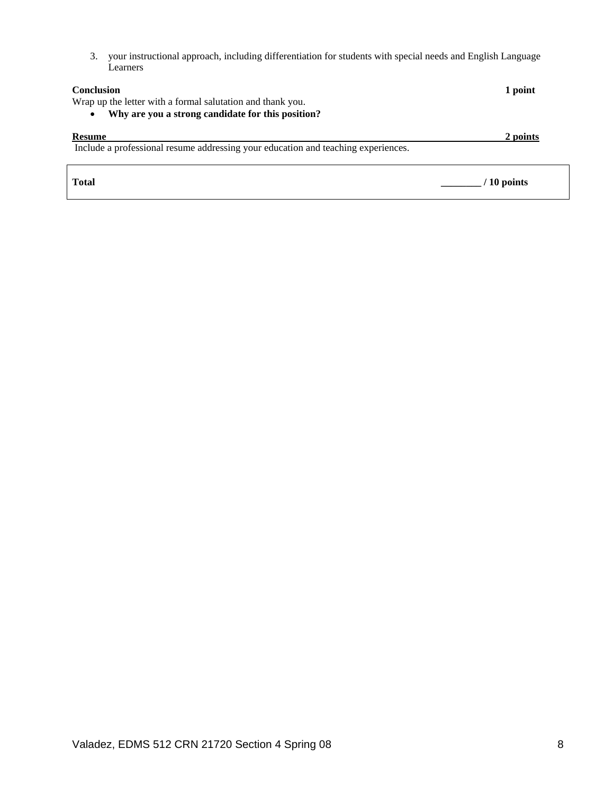3. your instructional approach, including differentiation for students with special needs and English Language Learners

| <b>Conclusion</b><br>Wrap up the letter with a formal salutation and thank you.<br>Why are you a strong candidate for this position?<br>$\bullet$ | 1 point      |
|---------------------------------------------------------------------------------------------------------------------------------------------------|--------------|
| <b>Resume</b><br>Include a professional resume addressing your education and teaching experiences.                                                | 2 points     |
| <b>Total</b>                                                                                                                                      | $/10$ points |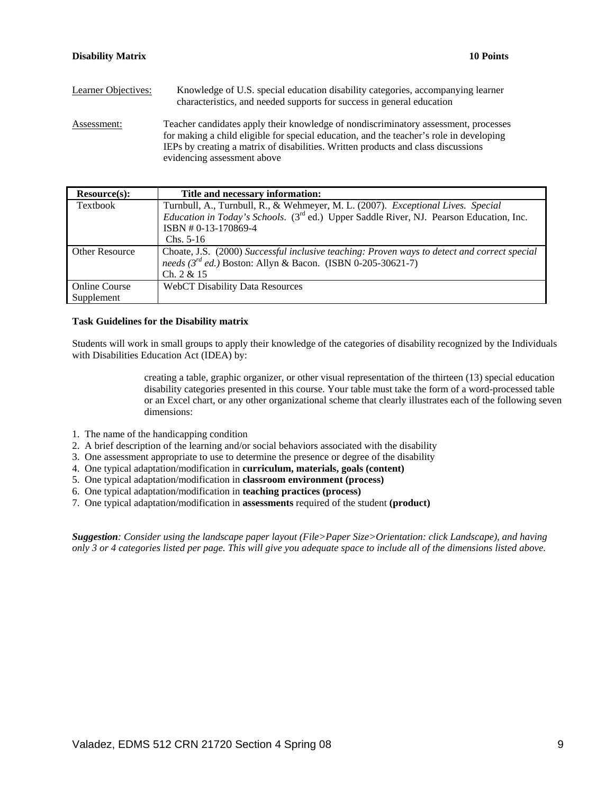| Learner Objectives: | Knowledge of U.S. special education disability categories, accompanying learner<br>characteristics, and needed supports for success in general education                                                                                                                                           |
|---------------------|----------------------------------------------------------------------------------------------------------------------------------------------------------------------------------------------------------------------------------------------------------------------------------------------------|
| Assessment:         | Teacher candidates apply their knowledge of nondiscriminatory assessment, processes<br>for making a child eligible for special education, and the teacher's role in developing<br>IEPs by creating a matrix of disabilities. Written products and class discussions<br>evidencing assessment above |

| Resource(s):          | Title and necessary information:                                                                           |
|-----------------------|------------------------------------------------------------------------------------------------------------|
| Textbook              | Turnbull, A., Turnbull, R., & Wehmeyer, M. L. (2007). Exceptional Lives. Special                           |
|                       | <i>Education in Today's Schools.</i> (3 <sup>rd</sup> ed.) Upper Saddle River, NJ. Pearson Education, Inc. |
|                       | ISBN #0-13-170869-4                                                                                        |
|                       | $Chs. 5-16$                                                                                                |
| <b>Other Resource</b> | Choate, J.S. (2000) Successful inclusive teaching: Proven ways to detect and correct special               |
|                       | needs ( $3^{rd}$ ed.) Boston: Allyn & Bacon. (ISBN 0-205-30621-7)                                          |
|                       | Ch. 2 & 15                                                                                                 |
| <b>Online Course</b>  | <b>WebCT Disability Data Resources</b>                                                                     |
| Supplement            |                                                                                                            |

### **Task Guidelines for the Disability matrix**

Students will work in small groups to apply their knowledge of the categories of disability recognized by the Individuals with Disabilities Education Act (IDEA) by:

> creating a table, graphic organizer, or other visual representation of the thirteen (13) special education disability categories presented in this course. Your table must take the form of a word-processed table or an Excel chart, or any other organizational scheme that clearly illustrates each of the following seven dimensions:

- 1. The name of the handicapping condition
- 2. A brief description of the learning and/or social behaviors associated with the disability
- 3. One assessment appropriate to use to determine the presence or degree of the disability
- 4. One typical adaptation/modification in **curriculum, materials, goals (content)**
- 5. One typical adaptation/modification in **classroom environment (process)**
- 6. One typical adaptation/modification in **teaching practices (process)**
- 7. One typical adaptation/modification in **assessments** required of the student **(product)**

*Suggestion: Consider using the landscape paper layout (File>Paper Size>Orientation: click Landscape), and having only 3 or 4 categories listed per page. This will give you adequate space to include all of the dimensions listed above.*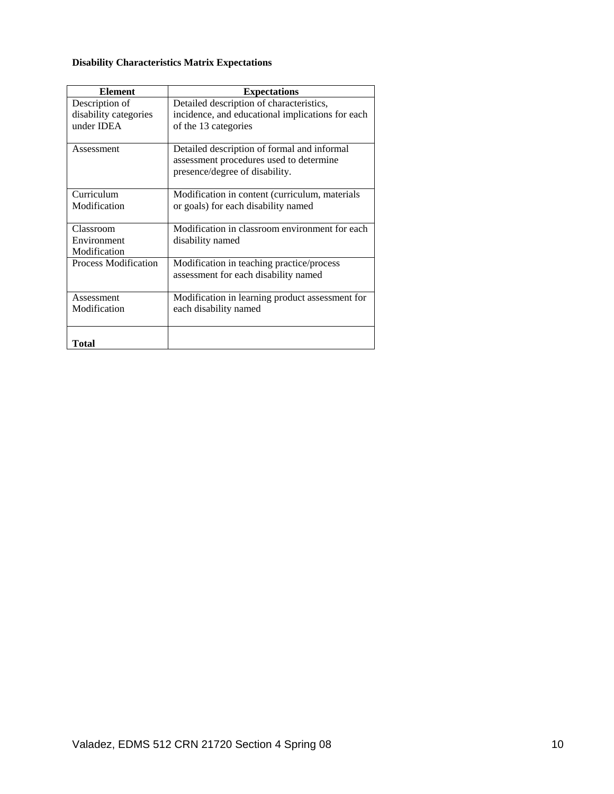# **Disability Characteristics Matrix Expectations**

| <b>Element</b>              | <b>Expectations</b>                              |
|-----------------------------|--------------------------------------------------|
| Description of              | Detailed description of characteristics,         |
| disability categories       | incidence, and educational implications for each |
| under IDEA                  | of the 13 categories                             |
|                             |                                                  |
| Assessment                  | Detailed description of formal and informal      |
|                             | assessment procedures used to determine          |
|                             | presence/degree of disability.                   |
| Curriculum                  | Modification in content (curriculum, materials   |
| Modification                | or goals) for each disability named              |
|                             |                                                  |
| Classroom                   | Modification in classroom environment for each   |
| Environment                 | disability named                                 |
| Modification                |                                                  |
| <b>Process Modification</b> | Modification in teaching practice/process        |
|                             | assessment for each disability named             |
| Assessment                  | Modification in learning product assessment for  |
| Modification                | each disability named                            |
|                             |                                                  |
|                             |                                                  |
| Total                       |                                                  |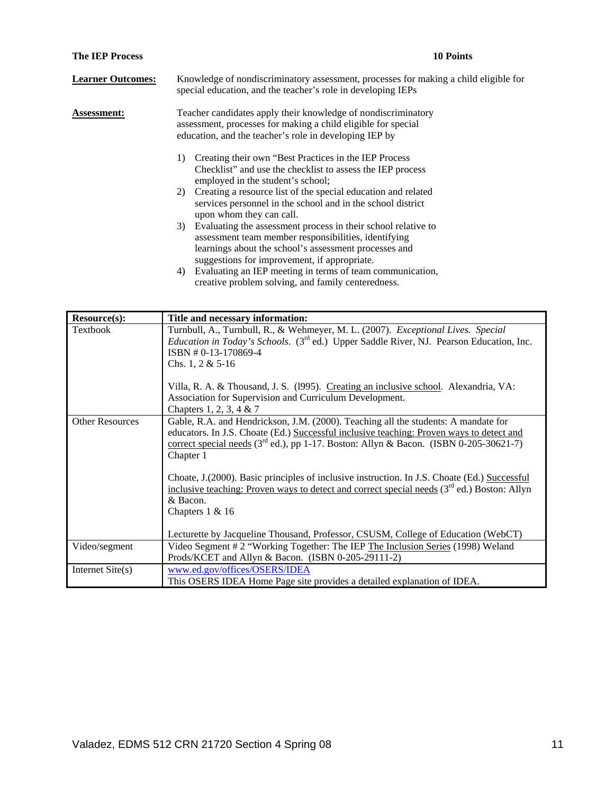| <b>The IEP Process</b>   | <b>10 Points</b>                                                                                                                                                                                                                  |
|--------------------------|-----------------------------------------------------------------------------------------------------------------------------------------------------------------------------------------------------------------------------------|
| <b>Learner Outcomes:</b> | Knowledge of nondiscriminatory assessment, processes for making a child eligible for<br>special education, and the teacher's role in developing IEPs                                                                              |
| <b>Assessment:</b>       | Teacher candidates apply their knowledge of nondiscriminatory<br>assessment, processes for making a child eligible for special<br>education, and the teacher's role in developing IEP by                                          |
|                          | Creating their own "Best Practices in the IEP Process"<br>1)<br>Checklist" and use the checklist to assess the IEP process<br>employed in the student's school;                                                                   |
|                          | 2) Creating a resource list of the special education and related<br>services personnel in the school and in the school district<br>upon whom they can call.                                                                       |
|                          | 3) Evaluating the assessment process in their school relative to<br>assessment team member responsibilities, identifying<br>learnings about the school's assessment processes and<br>suggestions for improvement, if appropriate. |
|                          | Evaluating an IEP meeting in terms of team communication,<br>4)<br>creative problem solving, and family centeredness.                                                                                                             |

| Resource(s):           | Title and necessary information:                                                                                                                                                                                                                                                                                                                                                                                          |
|------------------------|---------------------------------------------------------------------------------------------------------------------------------------------------------------------------------------------------------------------------------------------------------------------------------------------------------------------------------------------------------------------------------------------------------------------------|
| Textbook               | Turnbull, A., Turnbull, R., & Wehmeyer, M. L. (2007). Exceptional Lives. Special<br><i>Education in Today's Schools.</i> (3 <sup>rd</sup> ed.) Upper Saddle River, NJ. Pearson Education, Inc.<br>ISBN #0-13-170869-4<br>Chs. 1, 2 & $5-16$<br>Villa, R. A. & Thousand, J. S. (1995). Creating an inclusive school. Alexandria, VA:<br>Association for Supervision and Curriculum Development.<br>Chapters 1, 2, 3, 4 & 7 |
| <b>Other Resources</b> | Gable, R.A. and Hendrickson, J.M. (2000). Teaching all the students: A mandate for<br>educators. In J.S. Choate (Ed.) Successful inclusive teaching: Proven ways to detect and<br>correct special needs ( $3rd$ ed.), pp 1-17. Boston: Allyn & Bacon. (ISBN 0-205-30621-7)<br>Chapter 1                                                                                                                                   |
|                        | Choate, J. (2000). Basic principles of inclusive instruction. In J.S. Choate (Ed.) Successful<br>inclusive teaching: Proven ways to detect and correct special needs $(3rd$ ed.) Boston: Allyn<br>& Bacon.<br>Chapters $1 & 16$<br>Lecturette by Jacqueline Thousand, Professor, CSUSM, College of Education (WebCT)                                                                                                      |
| Video/segment          | Video Segment # 2 "Working Together: The IEP The Inclusion Series (1998) Weland                                                                                                                                                                                                                                                                                                                                           |
|                        | Prods/KCET and Allyn & Bacon. (ISBN 0-205-29111-2)                                                                                                                                                                                                                                                                                                                                                                        |
| Internet Site(s)       | www.ed.gov/offices/OSERS/IDEA<br>This OSERS IDEA Home Page site provides a detailed explanation of IDEA.                                                                                                                                                                                                                                                                                                                  |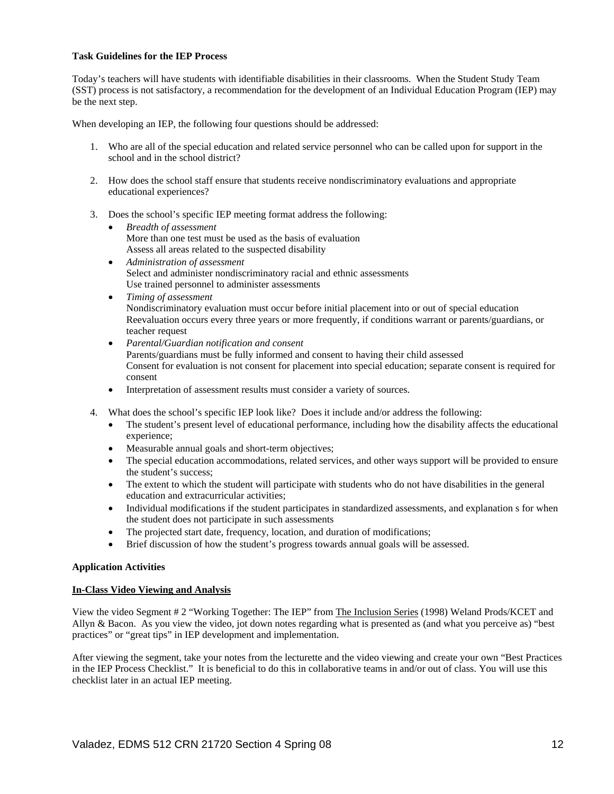### **Task Guidelines for the IEP Process**

Today's teachers will have students with identifiable disabilities in their classrooms. When the Student Study Team (SST) process is not satisfactory, a recommendation for the development of an Individual Education Program (IEP) may be the next step.

When developing an IEP, the following four questions should be addressed:

- 1. Who are all of the special education and related service personnel who can be called upon for support in the school and in the school district?
- 2. How does the school staff ensure that students receive nondiscriminatory evaluations and appropriate educational experiences?
- 3. Does the school's specific IEP meeting format address the following:
	- *Breadth of assessment*  More than one test must be used as the basis of evaluation Assess all areas related to the suspected disability
	- *Administration of assessment*  Select and administer nondiscriminatory racial and ethnic assessments Use trained personnel to administer assessments
	- *Timing of assessment*  Nondiscriminatory evaluation must occur before initial placement into or out of special education Reevaluation occurs every three years or more frequently, if conditions warrant or parents/guardians, or teacher request
	- *Parental/Guardian notification and consent*  Parents/guardians must be fully informed and consent to having their child assessed Consent for evaluation is not consent for placement into special education; separate consent is required for consent
	- Interpretation of assessment results must consider a variety of sources.
- 4. What does the school's specific IEP look like? Does it include and/or address the following:
	- The student's present level of educational performance, including how the disability affects the educational experience;
	- Measurable annual goals and short-term objectives;
	- The special education accommodations, related services, and other ways support will be provided to ensure the student's success;
	- The extent to which the student will participate with students who do not have disabilities in the general education and extracurricular activities;
	- Individual modifications if the student participates in standardized assessments, and explanation s for when the student does not participate in such assessments
	- The projected start date, frequency, location, and duration of modifications;
	- Brief discussion of how the student's progress towards annual goals will be assessed.

### **Application Activities**

### **In-Class Video Viewing and Analysis**

View the video Segment # 2 "Working Together: The IEP" from The Inclusion Series (1998) Weland Prods/KCET and Allyn & Bacon. As you view the video, jot down notes regarding what is presented as (and what you perceive as) "best practices" or "great tips" in IEP development and implementation.

After viewing the segment, take your notes from the lecturette and the video viewing and create your own "Best Practices in the IEP Process Checklist." It is beneficial to do this in collaborative teams in and/or out of class. You will use this checklist later in an actual IEP meeting.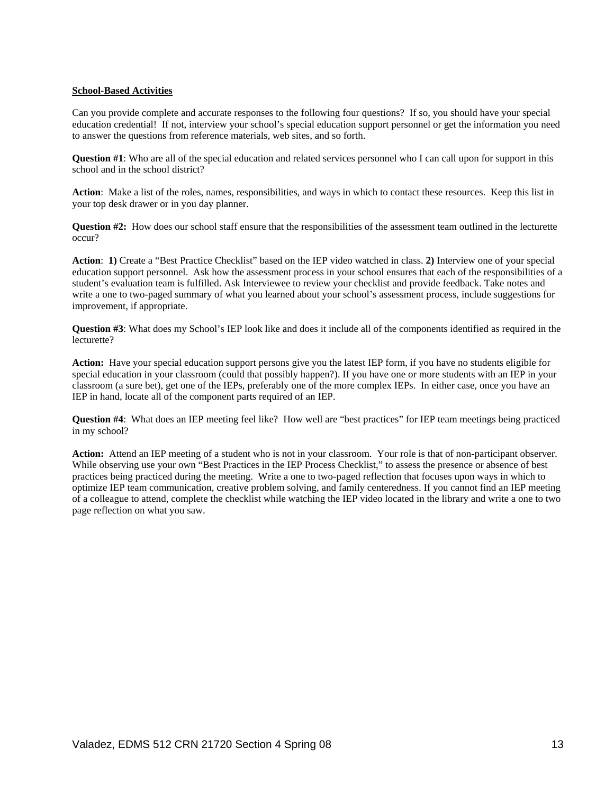### **School-Based Activities**

Can you provide complete and accurate responses to the following four questions? If so, you should have your special education credential! If not, interview your school's special education support personnel or get the information you need to answer the questions from reference materials, web sites, and so forth.

**Question #1**: Who are all of the special education and related services personnel who I can call upon for support in this school and in the school district?

**Action**: Make a list of the roles, names, responsibilities, and ways in which to contact these resources. Keep this list in your top desk drawer or in you day planner.

**Question #2:** How does our school staff ensure that the responsibilities of the assessment team outlined in the lecturette occur?

**Action**: **1)** Create a "Best Practice Checklist" based on the IEP video watched in class. **2)** Interview one of your special education support personnel. Ask how the assessment process in your school ensures that each of the responsibilities of a student's evaluation team is fulfilled. Ask Interviewee to review your checklist and provide feedback. Take notes and write a one to two-paged summary of what you learned about your school's assessment process, include suggestions for improvement, if appropriate.

**Question #3**: What does my School's IEP look like and does it include all of the components identified as required in the lecturette?

**Action:** Have your special education support persons give you the latest IEP form, if you have no students eligible for special education in your classroom (could that possibly happen?). If you have one or more students with an IEP in your classroom (a sure bet), get one of the IEPs, preferably one of the more complex IEPs. In either case, once you have an IEP in hand, locate all of the component parts required of an IEP.

**Question #4**: What does an IEP meeting feel like? How well are "best practices" for IEP team meetings being practiced in my school?

**Action:** Attend an IEP meeting of a student who is not in your classroom. Your role is that of non-participant observer. While observing use your own "Best Practices in the IEP Process Checklist," to assess the presence or absence of best practices being practiced during the meeting. Write a one to two-paged reflection that focuses upon ways in which to optimize IEP team communication, creative problem solving, and family centeredness. If you cannot find an IEP meeting of a colleague to attend, complete the checklist while watching the IEP video located in the library and write a one to two page reflection on what you saw.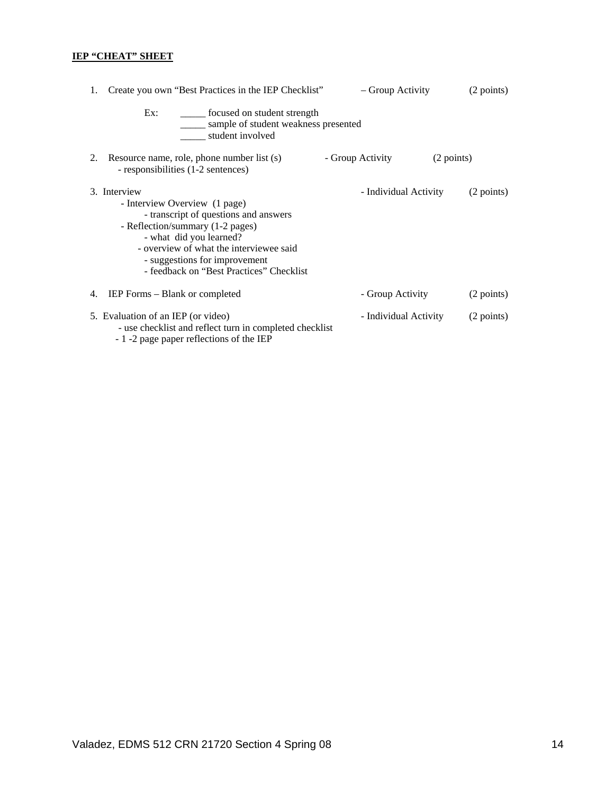# **IEP "CHEAT" SHEET**

| Create you own "Best Practices in the IEP Checklist"<br>1.                                                                                                                                                                                                                    | - Group Activity      | (2 points) |
|-------------------------------------------------------------------------------------------------------------------------------------------------------------------------------------------------------------------------------------------------------------------------------|-----------------------|------------|
| Ex:<br>_______ focused on student strength<br>sample of student weakness presented<br>student involved                                                                                                                                                                        |                       |            |
| Resource name, role, phone number list (s)<br>2.<br>- responsibilities (1-2 sentences)                                                                                                                                                                                        | - Group Activity      | (2 points) |
| 3. Interview<br>- Interview Overview (1 page)<br>- transcript of questions and answers<br>- Reflection/summary (1-2 pages)<br>- what did you learned?<br>- overview of what the interviewee said<br>- suggestions for improvement<br>- feedback on "Best Practices" Checklist | - Individual Activity | (2 points) |
| IEP Forms – Blank or completed<br>4.                                                                                                                                                                                                                                          | - Group Activity      | (2 points) |
| 5. Evaluation of an IEP (or video)<br>- use checklist and reflect turn in completed checklist<br>$1 \cdot 2$ and a second of $f_{\text{c}}$ at $f_{\text{c}}$ and $f_{\text{c}}$ at $f_{\text{c}}$ and $f_{\text{c}}$                                                         | - Individual Activity | (2 points) |

- 1 -2 page paper reflections of the IEP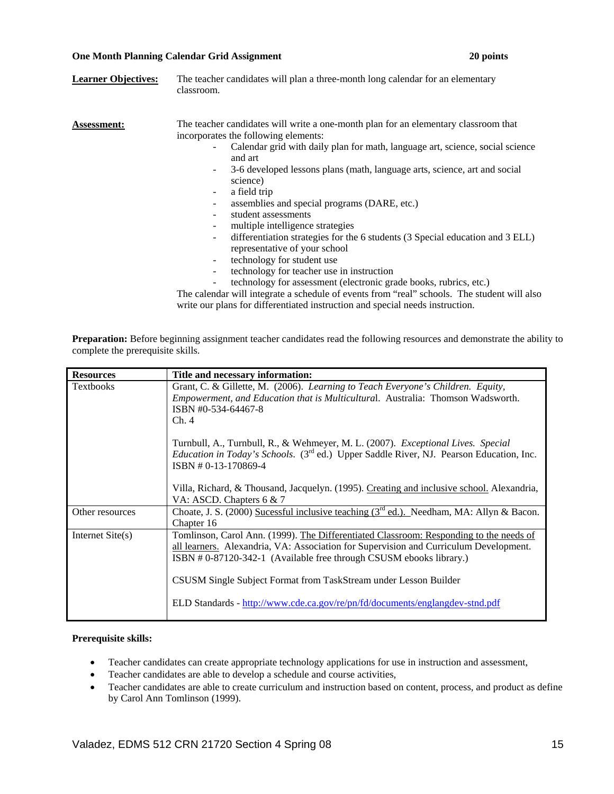### **One Month Planning Calendar Grid Assignment 20 points**

| <b>Learner Objectives:</b> | The teacher candidates will plan a three-month long calendar for an elementary<br>classroom.                                                                                                                                                                                                                                                                                                                                                                                                                                                                                                                                                                                                                                               |
|----------------------------|--------------------------------------------------------------------------------------------------------------------------------------------------------------------------------------------------------------------------------------------------------------------------------------------------------------------------------------------------------------------------------------------------------------------------------------------------------------------------------------------------------------------------------------------------------------------------------------------------------------------------------------------------------------------------------------------------------------------------------------------|
| <b>Assessment:</b>         | The teacher candidates will write a one-month plan for an elementary classroom that<br>incorporates the following elements:<br>Calendar grid with daily plan for math, language art, science, social science<br>and art<br>3-6 developed lessons plans (math, language arts, science, art and social<br>۰.<br>science)<br>a field trip<br>$\blacksquare$<br>assemblies and special programs (DARE, etc.)<br>student assessments<br>multiple intelligence strategies<br>differentiation strategies for the 6 students (3 Special education and 3 ELL)<br>representative of your school<br>technology for student use<br>۰<br>technology for teacher use in instruction<br>technology for assessment (electronic grade books, rubrics, etc.) |
|                            | The calendar will integrate a schedule of events from "real" schools. The student will also                                                                                                                                                                                                                                                                                                                                                                                                                                                                                                                                                                                                                                                |

write our plans for differentiated instruction and special needs instruction.

**Preparation:** Before beginning assignment teacher candidates read the following resources and demonstrate the ability to complete the prerequisite skills.

| <b>Resources</b>   | Title and necessary information:                                                                                                                                                                                                                                                                                                                                                                          |
|--------------------|-----------------------------------------------------------------------------------------------------------------------------------------------------------------------------------------------------------------------------------------------------------------------------------------------------------------------------------------------------------------------------------------------------------|
| <b>Textbooks</b>   | Grant, C. & Gillette, M. (2006). Learning to Teach Everyone's Children. Equity,<br><i>Empowerment, and Education that is Multicultural. Australia: Thomson Wadsworth.</i><br>ISBN #0-534-64467-8<br>Ch.4                                                                                                                                                                                                  |
|                    | Turnbull, A., Turnbull, R., & Wehmeyer, M. L. (2007). Exceptional Lives. Special<br><i>Education in Today's Schools.</i> (3 <sup>rd</sup> ed.) Upper Saddle River, NJ. Pearson Education, Inc.<br>ISBN #0-13-170869-4                                                                                                                                                                                     |
|                    | Villa, Richard, & Thousand, Jacquelyn. (1995). Creating and inclusive school. Alexandria,<br>VA: ASCD. Chapters 6 & 7                                                                                                                                                                                                                                                                                     |
| Other resources    | Choate, J. S. (2000) Sucessful inclusive teaching ( $3rd$ ed.). Needham, MA: Allyn & Bacon.<br>Chapter 16                                                                                                                                                                                                                                                                                                 |
| Internet $Site(s)$ | Tomlinson, Carol Ann. (1999). The Differentiated Classroom: Responding to the needs of<br>all learners. Alexandria, VA: Association for Supervision and Curriculum Development.<br>ISBN #0-87120-342-1 (Available free through CSUSM ebooks library.)<br>CSUSM Single Subject Format from TaskStream under Lesson Builder<br>ELD Standards - http://www.cde.ca.gov/re/pn/fd/documents/englangdev-stnd.pdf |

### **Prerequisite skills:**

- Teacher candidates can create appropriate technology applications for use in instruction and assessment,
- Teacher candidates are able to develop a schedule and course activities,
- Teacher candidates are able to create curriculum and instruction based on content, process, and product as define by Carol Ann Tomlinson (1999).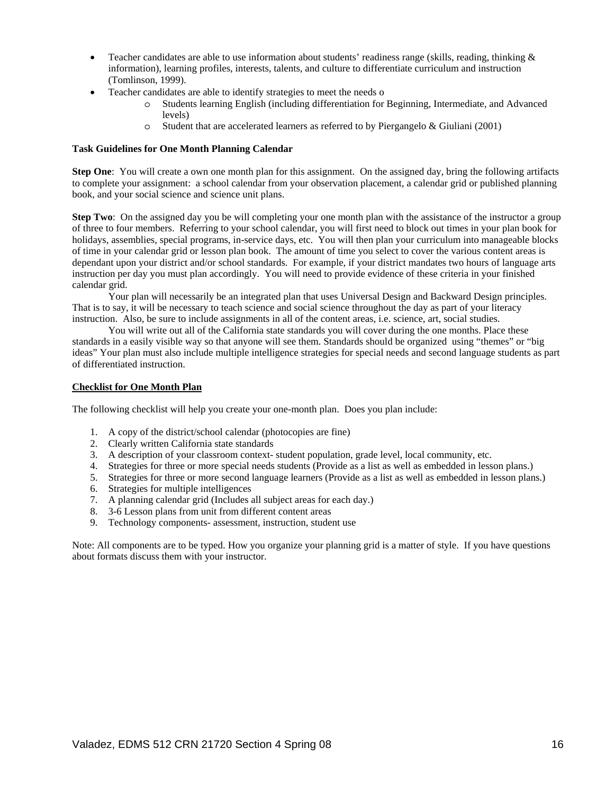- Teacher candidates are able to use information about students' readiness range (skills, reading, thinking  $\&$ information), learning profiles, interests, talents, and culture to differentiate curriculum and instruction (Tomlinson, 1999).
- Teacher candidates are able to identify strategies to meet the needs o
	- o Students learning English (including differentiation for Beginning, Intermediate, and Advanced levels)
	- o Student that are accelerated learners as referred to by Piergangelo & Giuliani (2001)

### **Task Guidelines for One Month Planning Calendar**

**Step One**: You will create a own one month plan for this assignment. On the assigned day, bring the following artifacts to complete your assignment: a school calendar from your observation placement, a calendar grid or published planning book, and your social science and science unit plans.

**Step Two**: On the assigned day you be will completing your one month plan with the assistance of the instructor a group of three to four members. Referring to your school calendar, you will first need to block out times in your plan book for holidays, assemblies, special programs, in-service days, etc. You will then plan your curriculum into manageable blocks of time in your calendar grid or lesson plan book. The amount of time you select to cover the various content areas is dependant upon your district and/or school standards. For example, if your district mandates two hours of language arts instruction per day you must plan accordingly. You will need to provide evidence of these criteria in your finished calendar grid.

 Your plan will necessarily be an integrated plan that uses Universal Design and Backward Design principles. That is to say, it will be necessary to teach science and social science throughout the day as part of your literacy instruction. Also, be sure to include assignments in all of the content areas, i.e. science, art, social studies.

 You will write out all of the California state standards you will cover during the one months. Place these standards in a easily visible way so that anyone will see them. Standards should be organized using "themes" or "big ideas" Your plan must also include multiple intelligence strategies for special needs and second language students as part of differentiated instruction.

### **Checklist for One Month Plan**

The following checklist will help you create your one-month plan. Does you plan include:

- 1. A copy of the district/school calendar (photocopies are fine)
- 2. Clearly written California state standards
- 3. A description of your classroom context- student population, grade level, local community, etc.
- 4. Strategies for three or more special needs students (Provide as a list as well as embedded in lesson plans.)
- 5. Strategies for three or more second language learners (Provide as a list as well as embedded in lesson plans.)
- 6. Strategies for multiple intelligences
- 7. A planning calendar grid (Includes all subject areas for each day.)
- 8. 3-6 Lesson plans from unit from different content areas
- 9. Technology components- assessment, instruction, student use

Note: All components are to be typed. How you organize your planning grid is a matter of style. If you have questions about formats discuss them with your instructor.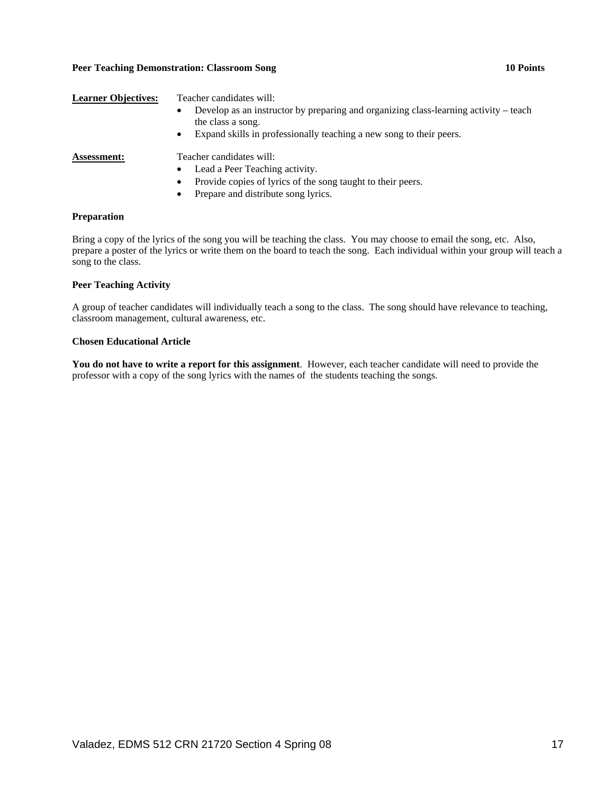### Peer Teaching Demonstration: Classroom Song **10 Points 10 Points**

| <b>Learner Objectives:</b> | Teacher candidates will:<br>Develop as an instructor by preparing and organizing class-learning activity – teach<br>$\bullet$<br>the class a song.<br>Expand skills in professionally teaching a new song to their peers.<br>$\bullet$ |
|----------------------------|----------------------------------------------------------------------------------------------------------------------------------------------------------------------------------------------------------------------------------------|
| <b>Assessment:</b>         | Teacher candidates will:<br>Lead a Peer Teaching activity.<br>$\bullet$<br>Provide copies of lyrics of the song taught to their peers.<br>$\bullet$<br>Prepare and distribute song lyrics.<br>$\bullet$                                |

### **Preparation**

Bring a copy of the lyrics of the song you will be teaching the class. You may choose to email the song, etc. Also, prepare a poster of the lyrics or write them on the board to teach the song. Each individual within your group will teach a song to the class.

### **Peer Teaching Activity**

A group of teacher candidates will individually teach a song to the class. The song should have relevance to teaching, classroom management, cultural awareness, etc.

### **Chosen Educational Article**

**You do not have to write a report for this assignment**. However, each teacher candidate will need to provide the professor with a copy of the song lyrics with the names of the students teaching the songs.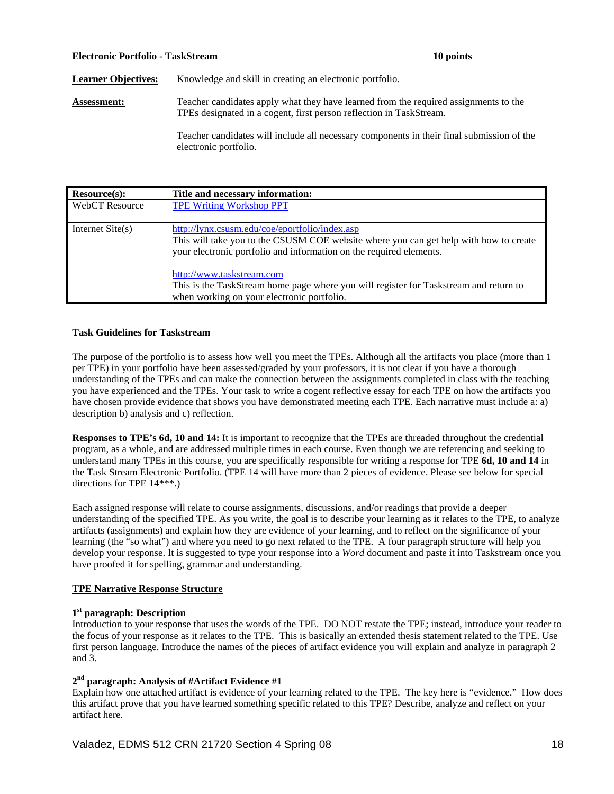### **Electronic Portfolio - TaskStream 10 points**

Learner Objectives: Knowledge and skill in creating an electronic portfolio.

**Assessment:** Teacher candidates apply what they have learned from the required assignments to the TPEs designated in a cogent, first person reflection in TaskStream.

> Teacher candidates will include all necessary components in their final submission of the electronic portfolio.

| Resource(s):          | Title and necessary information:                                                                                                                                                                                                            |
|-----------------------|---------------------------------------------------------------------------------------------------------------------------------------------------------------------------------------------------------------------------------------------|
| <b>WebCT</b> Resource | <b>TPE Writing Workshop PPT</b>                                                                                                                                                                                                             |
| Internet $Site(s)$    | http://lynx.csusm.edu/coe/eportfolio/index.asp<br>This will take you to the CSUSM COE website where you can get help with how to create<br>your electronic portfolio and information on the required elements.<br>http://www.taskstream.com |
|                       | This is the TaskStream home page where you will register for Taskstream and return to<br>when working on your electronic portfolio.                                                                                                         |

### **Task Guidelines for Taskstream**

The purpose of the portfolio is to assess how well you meet the TPEs. Although all the artifacts you place (more than 1 per TPE) in your portfolio have been assessed/graded by your professors, it is not clear if you have a thorough understanding of the TPEs and can make the connection between the assignments completed in class with the teaching you have experienced and the TPEs. Your task to write a cogent reflective essay for each TPE on how the artifacts you have chosen provide evidence that shows you have demonstrated meeting each TPE. Each narrative must include a: a) description b) analysis and c) reflection.

**Responses to TPE's 6d, 10 and 14:** It is important to recognize that the TPEs are threaded throughout the credential program, as a whole, and are addressed multiple times in each course. Even though we are referencing and seeking to understand many TPEs in this course, you are specifically responsible for writing a response for TPE **6d, 10 and 14** in the Task Stream Electronic Portfolio. (TPE 14 will have more than 2 pieces of evidence. Please see below for special directions for TPE 14\*\*\*.)

Each assigned response will relate to course assignments, discussions, and/or readings that provide a deeper understanding of the specified TPE. As you write, the goal is to describe your learning as it relates to the TPE, to analyze artifacts (assignments) and explain how they are evidence of your learning, and to reflect on the significance of your learning (the "so what") and where you need to go next related to the TPE. A four paragraph structure will help you develop your response. It is suggested to type your response into a *Word* document and paste it into Taskstream once you have proofed it for spelling, grammar and understanding.

### **TPE Narrative Response Structure**

### **1st paragraph: Description**

Introduction to your response that uses the words of the TPE. DO NOT restate the TPE; instead, introduce your reader to the focus of your response as it relates to the TPE. This is basically an extended thesis statement related to the TPE. Use first person language. Introduce the names of the pieces of artifact evidence you will explain and analyze in paragraph 2 and 3.

# **2nd paragraph: Analysis of #Artifact Evidence #1**

Explain how one attached artifact is evidence of your learning related to the TPE. The key here is "evidence." How does this artifact prove that you have learned something specific related to this TPE? Describe, analyze and reflect on your artifact here.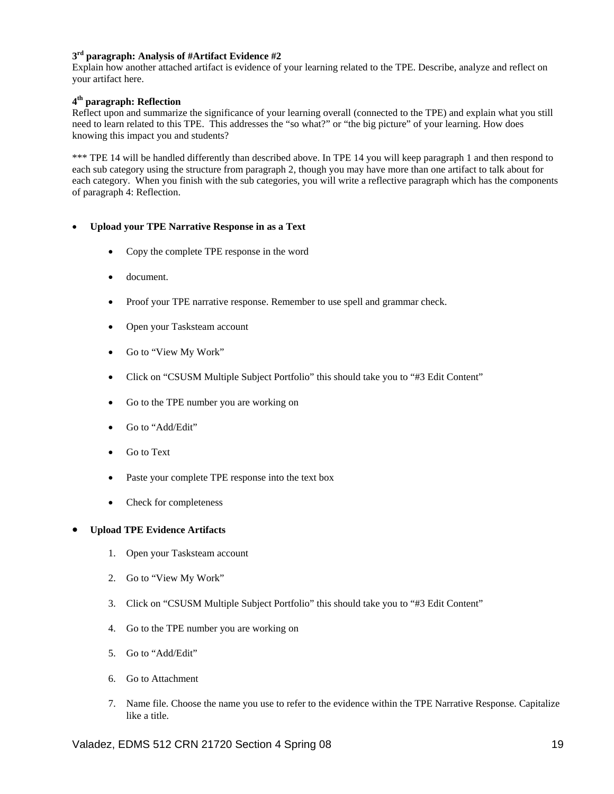# **3rd paragraph: Analysis of #Artifact Evidence #2**

Explain how another attached artifact is evidence of your learning related to the TPE. Describe, analyze and reflect on your artifact here.

### **4th paragraph: Reflection**

Reflect upon and summarize the significance of your learning overall (connected to the TPE) and explain what you still need to learn related to this TPE. This addresses the "so what?" or "the big picture" of your learning. How does knowing this impact you and students?

\*\*\* TPE 14 will be handled differently than described above. In TPE 14 you will keep paragraph 1 and then respond to each sub category using the structure from paragraph 2, though you may have more than one artifact to talk about for each category. When you finish with the sub categories, you will write a reflective paragraph which has the components of paragraph 4: Reflection.

### • **Upload your TPE Narrative Response in as a Text**

- Copy the complete TPE response in the word
- document.
- Proof your TPE narrative response. Remember to use spell and grammar check.
- Open your Tasksteam account
- Go to "View My Work"
- Click on "CSUSM Multiple Subject Portfolio" this should take you to "#3 Edit Content"
- Go to the TPE number you are working on
- Go to "Add/Edit"
- Go to Text
- Paste your complete TPE response into the text box
- Check for completeness

### • **Upload TPE Evidence Artifacts**

- 1. Open your Tasksteam account
- 2. Go to "View My Work"
- 3. Click on "CSUSM Multiple Subject Portfolio" this should take you to "#3 Edit Content"
- 4. Go to the TPE number you are working on
- 5. Go to "Add/Edit"
- 6. Go to Attachment
- 7. Name file. Choose the name you use to refer to the evidence within the TPE Narrative Response. Capitalize like a title.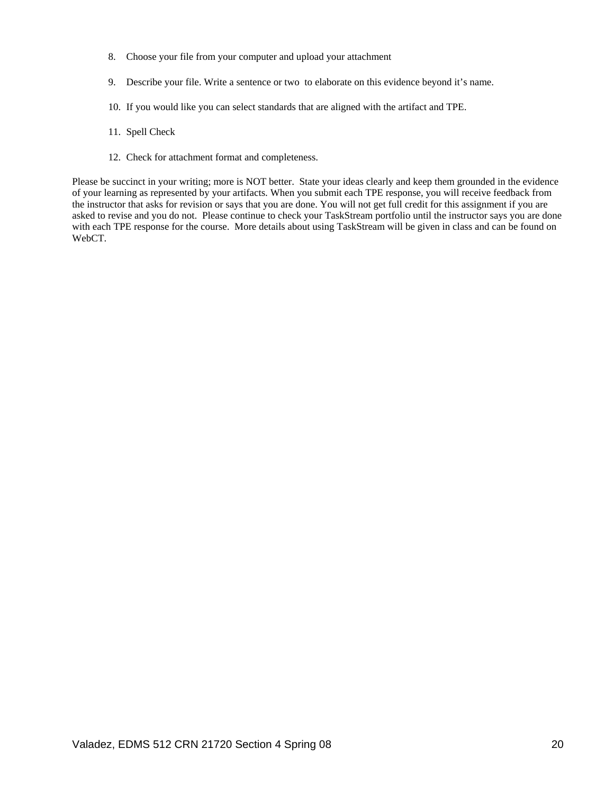- 8. Choose your file from your computer and upload your attachment
- 9. Describe your file. Write a sentence or two to elaborate on this evidence beyond it's name.
- 10. If you would like you can select standards that are aligned with the artifact and TPE.
- 11. Spell Check
- 12. Check for attachment format and completeness.

Please be succinct in your writing; more is NOT better. State your ideas clearly and keep them grounded in the evidence of your learning as represented by your artifacts. When you submit each TPE response, you will receive feedback from the instructor that asks for revision or says that you are done. You will not get full credit for this assignment if you are asked to revise and you do not. Please continue to check your TaskStream portfolio until the instructor says you are done with each TPE response for the course. More details about using TaskStream will be given in class and can be found on WebCT.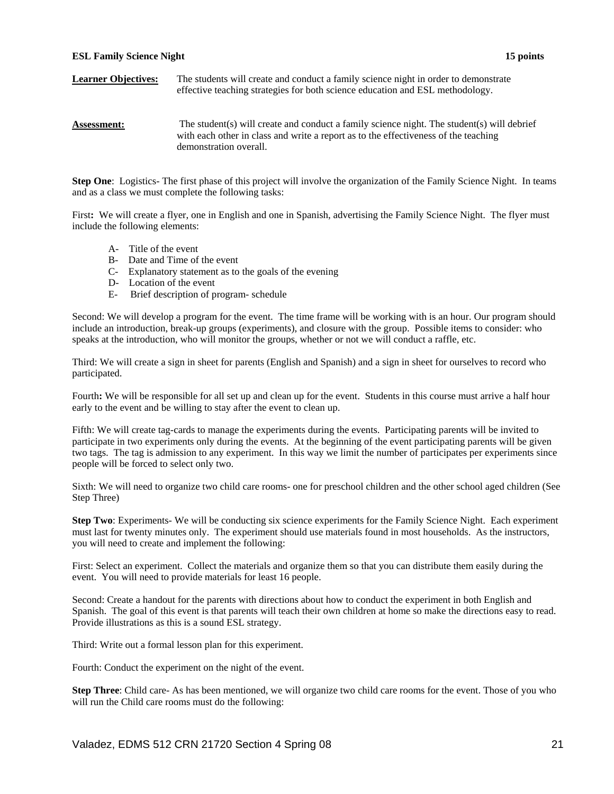### **ESL Family Science Night 15 points**

### **Learner Objectives:** The students will create and conduct a family science night in order to demonstrate effective teaching strategies for both science education and ESL methodology.

### **Assessment:** The student(s) will create and conduct a family science night. The student(s) will debrief with each other in class and write a report as to the effectiveness of the teaching demonstration overall.

**Step One**: Logistics- The first phase of this project will involve the organization of the Family Science Night. In teams and as a class we must complete the following tasks:

First: We will create a flyer, one in English and one in Spanish, advertising the Family Science Night. The flyer must include the following elements:

- A- Title of the event
- B- Date and Time of the event
- C- Explanatory statement as to the goals of the evening
- D- Location of the event
- E- Brief description of program- schedule

Second: We will develop a program for the event. The time frame will be working with is an hour. Our program should include an introduction, break-up groups (experiments), and closure with the group. Possible items to consider: who speaks at the introduction, who will monitor the groups, whether or not we will conduct a raffle, etc.

Third: We will create a sign in sheet for parents (English and Spanish) and a sign in sheet for ourselves to record who participated.

Fourth**:** We will be responsible for all set up and clean up for the event. Students in this course must arrive a half hour early to the event and be willing to stay after the event to clean up.

Fifth: We will create tag-cards to manage the experiments during the events. Participating parents will be invited to participate in two experiments only during the events. At the beginning of the event participating parents will be given two tags. The tag is admission to any experiment. In this way we limit the number of participates per experiments since people will be forced to select only two.

Sixth: We will need to organize two child care rooms- one for preschool children and the other school aged children (See Step Three)

**Step Two**: Experiments- We will be conducting six science experiments for the Family Science Night. Each experiment must last for twenty minutes only. The experiment should use materials found in most households. As the instructors, you will need to create and implement the following:

First: Select an experiment. Collect the materials and organize them so that you can distribute them easily during the event. You will need to provide materials for least 16 people.

Second: Create a handout for the parents with directions about how to conduct the experiment in both English and Spanish. The goal of this event is that parents will teach their own children at home so make the directions easy to read. Provide illustrations as this is a sound ESL strategy.

Third: Write out a formal lesson plan for this experiment.

Fourth: Conduct the experiment on the night of the event.

**Step Three**: Child care- As has been mentioned, we will organize two child care rooms for the event. Those of you who will run the Child care rooms must do the following: